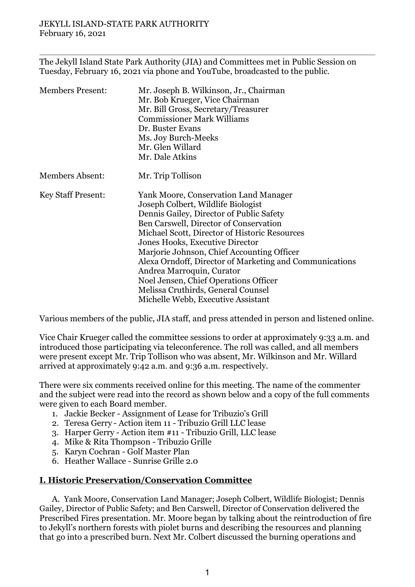The Jekyll Island State Park Authority (JIA) and Committees met in Public Session on Tuesday, February 16, 2021 via phone and YouTube, broadcasted to the public.

| <b>Members Present:</b>   | Mr. Joseph B. Wilkinson, Jr., Chairman<br>Mr. Bob Krueger, Vice Chairman<br>Mr. Bill Gross, Secretary/Treasurer<br><b>Commissioner Mark Williams</b><br>Dr. Buster Evans<br>Ms. Joy Burch-Meeks<br>Mr. Glen Willard<br>Mr. Dale Atkins                                                                                                                                                                                                                                                                           |
|---------------------------|------------------------------------------------------------------------------------------------------------------------------------------------------------------------------------------------------------------------------------------------------------------------------------------------------------------------------------------------------------------------------------------------------------------------------------------------------------------------------------------------------------------|
| <b>Members Absent:</b>    | Mr. Trip Tollison                                                                                                                                                                                                                                                                                                                                                                                                                                                                                                |
| <b>Key Staff Present:</b> | Yank Moore, Conservation Land Manager<br>Joseph Colbert, Wildlife Biologist<br>Dennis Gailey, Director of Public Safety<br>Ben Carswell, Director of Conservation<br>Michael Scott, Director of Historic Resources<br>Jones Hooks, Executive Director<br>Marjorie Johnson, Chief Accounting Officer<br>Alexa Orndoff, Director of Marketing and Communications<br>Andrea Marroquin, Curator<br>Noel Jensen, Chief Operations Officer<br>Melissa Cruthirds, General Counsel<br>Michelle Webb, Executive Assistant |

Various members of the public, JIA staff, and press attended in person and listened online.

Vice Chair Krueger called the committee sessions to order at approximately 9:33 a.m. and introduced those participating via teleconference. The roll was called, and all members were present except Mr. Trip Tollison who was absent, Mr. Wilkinson and Mr. Willard arrived at approximately 9:42 a.m. and 9:36 a.m. respectively.

There were six comments received online for this meeting. The name of the commenter and the subject were read into the record as shown below and a copy of the full comments were given to each Board member.

- 1. Jackie Becker Assignment of Lease for Tribuzio's Grill
- 2. Teresa Gerry Action item 11 Tribuzio Grill LLC lease
- 3. Harper Gerry Action item #11 Tribuzio Grill, LLC lease
- 4. Mike & Rita Thompson Tribuzio Grille
- 5. Karyn Cochran Golf Master Plan
- 6. Heather Wallace Sunrise Grille 2.0

## **I. Historic Preservation/Conservation Committee**

A. Yank Moore, Conservation Land Manager; Joseph Colbert, Wildlife Biologist; Dennis Gailey, Director of Public Safety; and Ben Carswell, Director of Conservation delivered the Prescribed Fires presentation. Mr. Moore began by talking about the reintroduction of fire to Jekyll's northern forests with piolet burns and describing the resources and planning that go into a prescribed burn. Next Mr. Colbert discussed the burning operations and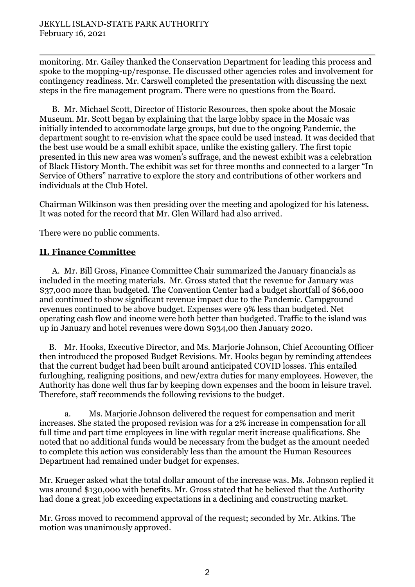monitoring. Mr. Gailey thanked the Conservation Department for leading this process and spoke to the mopping-up/response. He discussed other agencies roles and involvement for contingency readiness. Mr. Carswell completed the presentation with discussing the next steps in the fire management program. There were no questions from the Board.

B. Mr. Michael Scott, Director of Historic Resources, then spoke about the Mosaic Museum. Mr. Scott began by explaining that the large lobby space in the Mosaic was initially intended to accommodate large groups, but due to the ongoing Pandemic, the department sought to re-envision what the space could be used instead. It was decided that the best use would be a small exhibit space, unlike the existing gallery. The first topic presented in this new area was women's suffrage, and the newest exhibit was a celebration of Black History Month. The exhibit was set for three months and connected to a larger "In Service of Others" narrative to explore the story and contributions of other workers and individuals at the Club Hotel.

Chairman Wilkinson was then presiding over the meeting and apologized for his lateness. It was noted for the record that Mr. Glen Willard had also arrived.

There were no public comments.

## **II. Finance Committee**

A. Mr. Bill Gross, Finance Committee Chair summarized the January financials as included in the meeting materials. Mr. Gross stated that the revenue for January was \$37,000 more than budgeted. The Convention Center had a budget shortfall of \$66,000 and continued to show significant revenue impact due to the Pandemic. Campground revenues continued to be above budget. Expenses were 9% less than budgeted. Net operating cash flow and income were both better than budgeted. Traffic to the island was up in January and hotel revenues were down \$934,00 then January 2020.

B. Mr. Hooks, Executive Director, and Ms. Marjorie Johnson, Chief Accounting Officer then introduced the proposed Budget Revisions. Mr. Hooks began by reminding attendees that the current budget had been built around anticipated COVID losses. This entailed furloughing, realigning positions, and new/extra duties for many employees. However, the Authority has done well thus far by keeping down expenses and the boom in leisure travel. Therefore, staff recommends the following revisions to the budget.

a. Ms. Marjorie Johnson delivered the request for compensation and merit increases. She stated the proposed revision was for a 2% increase in compensation for all full time and part time employees in line with regular merit increase qualifications. She noted that no additional funds would be necessary from the budget as the amount needed to complete this action was considerably less than the amount the Human Resources Department had remained under budget for expenses.

Mr. Krueger asked what the total dollar amount of the increase was. Ms. Johnson replied it was around \$130,000 with benefits. Mr. Gross stated that he believed that the Authority had done a great job exceeding expectations in a declining and constructing market.

Mr. Gross moved to recommend approval of the request; seconded by Mr. Atkins. The motion was unanimously approved.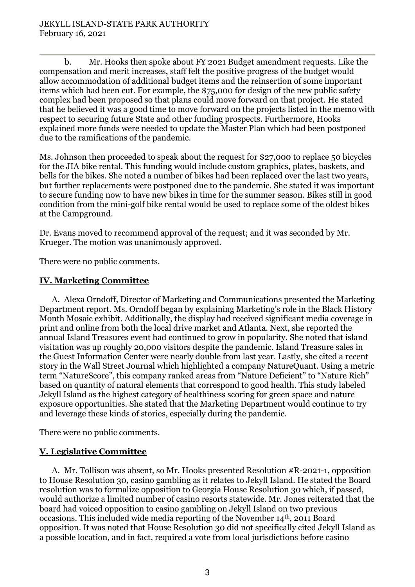b. Mr. Hooks then spoke about FY 2021 Budget amendment requests. Like the compensation and merit increases, staff felt the positive progress of the budget would allow accommodation of additional budget items and the reinsertion of some important items which had been cut. For example, the \$75,000 for design of the new public safety complex had been proposed so that plans could move forward on that project. He stated that he believed it was a good time to move forward on the projects listed in the memo with respect to securing future State and other funding prospects. Furthermore, Hooks explained more funds were needed to update the Master Plan which had been postponed due to the ramifications of the pandemic.

Ms. Johnson then proceeded to speak about the request for \$27,000 to replace 50 bicycles for the JIA bike rental. This funding would include custom graphics, plates, baskets, and bells for the bikes. She noted a number of bikes had been replaced over the last two years, but further replacements were postponed due to the pandemic. She stated it was important to secure funding now to have new bikes in time for the summer season. Bikes still in good condition from the mini-golf bike rental would be used to replace some of the oldest bikes at the Campground.

Dr. Evans moved to recommend approval of the request; and it was seconded by Mr. Krueger. The motion was unanimously approved.

There were no public comments.

# **IV. Marketing Committee**

A. Alexa Orndoff, Director of Marketing and Communications presented the Marketing Department report. Ms. Orndoff began by explaining Marketing's role in the Black History Month Mosaic exhibit. Additionally, the display had received significant media coverage in print and online from both the local drive market and Atlanta. Next, she reported the annual Island Treasures event had continued to grow in popularity. She noted that island visitation was up roughly 20,000 visitors despite the pandemic. Island Treasure sales in the Guest Information Center were nearly double from last year. Lastly, she cited a recent story in the Wall Street Journal which highlighted a company NatureQuant. Using a metric term "NatureScore", this company ranked areas from "Nature Deficient" to "Nature Rich" based on quantity of natural elements that correspond to good health. This study labeled Jekyll Island as the highest category of healthiness scoring for green space and nature exposure opportunities. She stated that the Marketing Department would continue to try and leverage these kinds of stories, especially during the pandemic.

There were no public comments.

## **V. Legislative Committee**

A. Mr. Tollison was absent, so Mr. Hooks presented Resolution #R-2021-1, opposition to House Resolution 30, casino gambling as it relates to Jekyll Island. He stated the Board resolution was to formalize opposition to Georgia House Resolution 30 which, if passed, would authorize a limited number of casino resorts statewide. Mr. Jones reiterated that the board had voiced opposition to casino gambling on Jekyll Island on two previous occasions. This included wide media reporting of the November 14th, 2011 Board opposition. It was noted that House Resolution 30 did not specifically cited Jekyll Island as a possible location, and in fact, required a vote from local jurisdictions before casino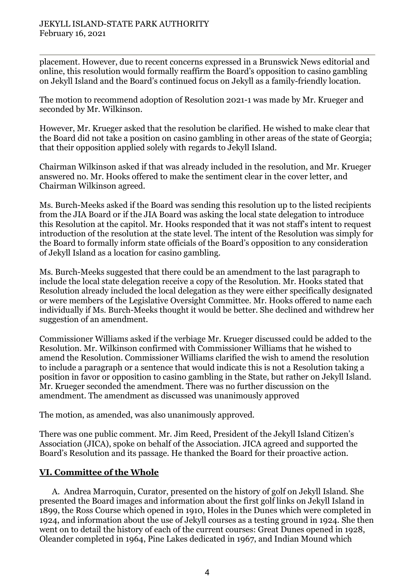placement. However, due to recent concerns expressed in a Brunswick News editorial and online, this resolution would formally reaffirm the Board's opposition to casino gambling on Jekyll Island and the Board's continued focus on Jekyll as a family-friendly location.

The motion to recommend adoption of Resolution 2021-1 was made by Mr. Krueger and seconded by Mr. Wilkinson.

However, Mr. Krueger asked that the resolution be clarified. He wished to make clear that the Board did not take a position on casino gambling in other areas of the state of Georgia; that their opposition applied solely with regards to Jekyll Island.

Chairman Wilkinson asked if that was already included in the resolution, and Mr. Krueger answered no. Mr. Hooks offered to make the sentiment clear in the cover letter, and Chairman Wilkinson agreed.

Ms. Burch-Meeks asked if the Board was sending this resolution up to the listed recipients from the JIA Board or if the JIA Board was asking the local state delegation to introduce this Resolution at the capitol. Mr. Hooks responded that it was not staff's intent to request introduction of the resolution at the state level. The intent of the Resolution was simply for the Board to formally inform state officials of the Board's opposition to any consideration of Jekyll Island as a location for casino gambling.

Ms. Burch-Meeks suggested that there could be an amendment to the last paragraph to include the local state delegation receive a copy of the Resolution. Mr. Hooks stated that Resolution already included the local delegation as they were either specifically designated or were members of the Legislative Oversight Committee. Mr. Hooks offered to name each individually if Ms. Burch-Meeks thought it would be better. She declined and withdrew her suggestion of an amendment.

Commissioner Williams asked if the verbiage Mr. Krueger discussed could be added to the Resolution. Mr. Wilkinson confirmed with Commissioner Williams that he wished to amend the Resolution. Commissioner Williams clarified the wish to amend the resolution to include a paragraph or a sentence that would indicate this is not a Resolution taking a position in favor or opposition to casino gambling in the State, but rather on Jekyll Island. Mr. Krueger seconded the amendment. There was no further discussion on the amendment. The amendment as discussed was unanimously approved

The motion, as amended, was also unanimously approved.

There was one public comment*.* Mr. Jim Reed, President of the Jekyll Island Citizen's Association (JICA), spoke on behalf of the Association. JICA agreed and supported the Board's Resolution and its passage. He thanked the Board for their proactive action.

## **VI. Committee of the Whole**

A. Andrea Marroquin, Curator, presented on the history of golf on Jekyll Island. She presented the Board images and information about the first golf links on Jekyll Island in 1899, the Ross Course which opened in 1910, Holes in the Dunes which were completed in 1924, and information about the use of Jekyll courses as a testing ground in 1924. She then went on to detail the history of each of the current courses: Great Dunes opened in 1928, Oleander completed in 1964, Pine Lakes dedicated in 1967, and Indian Mound which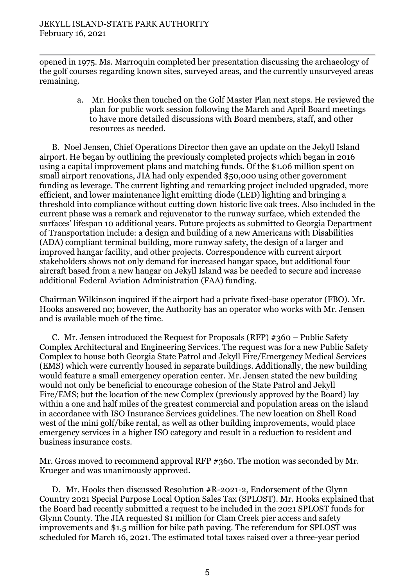opened in 1975. Ms. Marroquin completed her presentation discussing the archaeology of the golf courses regarding known sites, surveyed areas, and the currently unsurveyed areas remaining.

> a. Mr. Hooks then touched on the Golf Master Plan next steps. He reviewed the plan for public work session following the March and April Board meetings to have more detailed discussions with Board members, staff, and other resources as needed.

B. Noel Jensen, Chief Operations Director then gave an update on the Jekyll Island airport. He began by outlining the previously completed projects which began in 2016 using a capital improvement plans and matching funds. Of the \$1.06 million spent on small airport renovations, JIA had only expended \$50,000 using other government funding as leverage. The current lighting and remarking project included upgraded, more efficient, and lower maintenance light emitting diode (LED) lighting and bringing a threshold into compliance without cutting down historic live oak trees. Also included in the current phase was a remark and rejuvenator to the runway surface, which extended the surfaces' lifespan 10 additional years. Future projects as submitted to Georgia Department of Transportation include: a design and building of a new Americans with Disabilities (ADA) compliant terminal building, more runway safety, the design of a larger and improved hangar facility, and other projects. Correspondence with current airport stakeholders shows not only demand for increased hangar space, but additional four aircraft based from a new hangar on Jekyll Island was be needed to secure and increase additional Federal Aviation Administration (FAA) funding.

Chairman Wilkinson inquired if the airport had a private fixed-base operator (FBO). Mr. Hooks answered no; however, the Authority has an operator who works with Mr. Jensen and is available much of the time.

C. Mr. Jensen introduced the Request for Proposals (RFP) #360 – Public Safety Complex Architectural and Engineering Services. The request was for a new Public Safety Complex to house both Georgia State Patrol and Jekyll Fire/Emergency Medical Services (EMS) which were currently housed in separate buildings. Additionally, the new building would feature a small emergency operation center. Mr. Jensen stated the new building would not only be beneficial to encourage cohesion of the State Patrol and Jekyll Fire/EMS; but the location of the new Complex (previously approved by the Board) lay within a one and half miles of the greatest commercial and population areas on the island in accordance with ISO Insurance Services guidelines. The new location on Shell Road west of the mini golf/bike rental, as well as other building improvements, would place emergency services in a higher ISO category and result in a reduction to resident and business insurance costs.

Mr. Gross moved to recommend approval RFP #360. The motion was seconded by Mr. Krueger and was unanimously approved.

D. Mr. Hooks then discussed Resolution #R-2021-2, Endorsement of the Glynn Country 2021 Special Purpose Local Option Sales Tax (SPLOST). Mr. Hooks explained that the Board had recently submitted a request to be included in the 2021 SPLOST funds for Glynn County. The JIA requested \$1 million for Clam Creek pier access and safety improvements and \$1.5 million for bike path paving. The referendum for SPLOST was scheduled for March 16, 2021. The estimated total taxes raised over a three-year period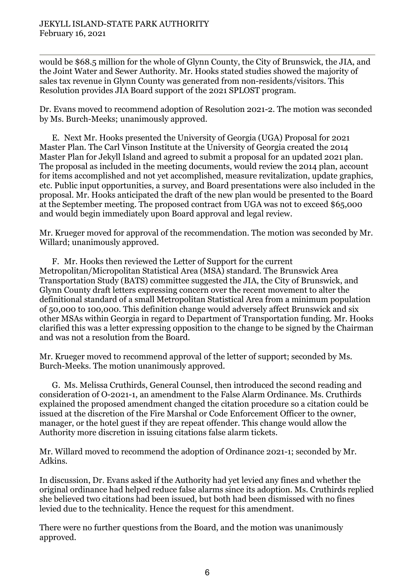would be \$68.5 million for the whole of Glynn County, the City of Brunswick, the JIA, and the Joint Water and Sewer Authority. Mr. Hooks stated studies showed the majority of sales tax revenue in Glynn County was generated from non-residents/visitors. This Resolution provides JIA Board support of the 2021 SPLOST program.

Dr. Evans moved to recommend adoption of Resolution 2021-2. The motion was seconded by Ms. Burch-Meeks; unanimously approved.

E. Next Mr. Hooks presented the University of Georgia (UGA) Proposal for 2021 Master Plan. The Carl Vinson Institute at the University of Georgia created the 2014 Master Plan for Jekyll Island and agreed to submit a proposal for an updated 2021 plan. The proposal as included in the meeting documents, would review the 2014 plan, account for items accomplished and not yet accomplished, measure revitalization, update graphics, etc. Public input opportunities, a survey, and Board presentations were also included in the proposal. Mr. Hooks anticipated the draft of the new plan would be presented to the Board at the September meeting. The proposed contract from UGA was not to exceed \$65,000 and would begin immediately upon Board approval and legal review.

Mr. Krueger moved for approval of the recommendation. The motion was seconded by Mr. Willard; unanimously approved.

F. Mr. Hooks then reviewed the Letter of Support for the current Metropolitan/Micropolitan Statistical Area (MSA) standard. The Brunswick Area Transportation Study (BATS) committee suggested the JIA, the City of Brunswick, and Glynn County draft letters expressing concern over the recent movement to alter the definitional standard of a small Metropolitan Statistical Area from a minimum population of 50,000 to 100,000. This definition change would adversely affect Brunswick and six other MSAs within Georgia in regard to Department of Transportation funding. Mr. Hooks clarified this was a letter expressing opposition to the change to be signed by the Chairman and was not a resolution from the Board.

Mr. Krueger moved to recommend approval of the letter of support; seconded by Ms. Burch-Meeks. The motion unanimously approved.

G. Ms. Melissa Cruthirds, General Counsel, then introduced the second reading and consideration of O-2021-1, an amendment to the False Alarm Ordinance. Ms. Cruthirds explained the proposed amendment changed the citation procedure so a citation could be issued at the discretion of the Fire Marshal or Code Enforcement Officer to the owner, manager, or the hotel guest if they are repeat offender. This change would allow the Authority more discretion in issuing citations false alarm tickets.

Mr. Willard moved to recommend the adoption of Ordinance 2021-1; seconded by Mr. Adkins.

In discussion, Dr. Evans asked if the Authority had yet levied any fines and whether the original ordinance had helped reduce false alarms since its adoption. Ms. Cruthirds replied she believed two citations had been issued, but both had been dismissed with no fines levied due to the technicality. Hence the request for this amendment.

There were no further questions from the Board, and the motion was unanimously approved.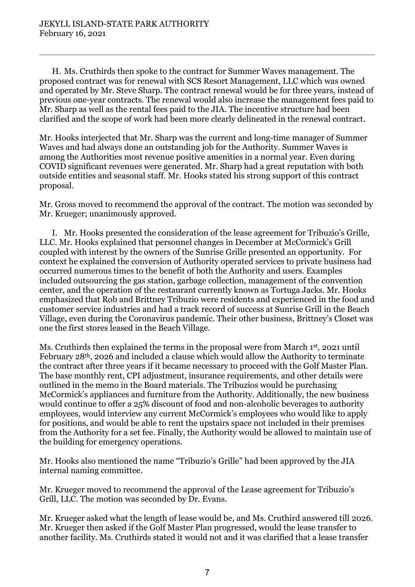H. Ms. Cruthirds then spoke to the contract for Summer Waves management. The proposed contract was for renewal with SCS Resort Management, LLC which was owned and operated by Mr. Steve Sharp. The contract renewal would be for three years, instead of previous one-year contracts. The renewal would also increase the management fees paid to Mr. Sharp as well as the rental fees paid to the JIA. The incentive structure had been clarified and the scope of work had been more clearly delineated in the renewal contract.

Mr. Hooks interjected that Mr. Sharp was the current and long-time manager of Summer Waves and had always done an outstanding job for the Authority. Summer Waves is among the Authorities most revenue positive amenities in a normal year. Even during COVID significant revenues were generated. Mr. Sharp had a great reputation with both outside entities and seasonal staff. Mr. Hooks stated his strong support of this contract proposal.

Mr. Gross moved to recommend the approval of the contract. The motion was seconded by Mr. Krueger; unanimously approved.

I. Mr. Hooks presented the consideration of the lease agreement for Tribuzio's Grille, LLC. Mr. Hooks explained that personnel changes in December at McCormick's Grill coupled with interest by the owners of the Sunrise Grille presented an opportunity. For context he explained the conversion of Authority operated services to private business had occurred numerous times to the benefit of both the Authority and users. Examples included outsourcing the gas station, garbage collection, management of the convention center, and the operation of the restaurant currently known as Tortuga Jacks. Mr. Hooks emphasized that Rob and Brittney Tribuzio were residents and experienced in the food and customer service industries and had a track record of success at Sunrise Grill in the Beach Village, even during the Coronavirus pandemic. Their other business, Brittney's Closet was one the first stores leased in the Beach Village.

Ms. Cruthirds then explained the terms in the proposal were from March 1st, 2021 until February 28th, 2026 and included a clause which would allow the Authority to terminate the contract after three years if it became necessary to proceed with the Golf Master Plan. The base monthly rent, CPI adjustment, insurance requirements, and other details were outlined in the memo in the Board materials. The Tribuzios would be purchasing McCormick's appliances and furniture from the Authority. Additionally, the new business would continue to offer a 25% discount of food and non-alcoholic beverages to authority employees, would interview any current McCormick's employees who would like to apply for positions, and would be able to rent the upstairs space not included in their premises from the Authority for a set fee. Finally, the Authority would be allowed to maintain use of the building for emergency operations.

Mr. Hooks also mentioned the name "Tribuzio's Grille" had been approved by the JIA internal naming committee.

Mr. Krueger moved to recommend the approval of the Lease agreement for Tribuzio's Grill, LLC. The motion was seconded by Dr. Evans.

Mr. Krueger asked what the length of lease would be, and Ms. Cruthird answered till 2026. Mr. Krueger then asked if the Golf Master Plan progressed, would the lease transfer to another facility. Ms. Cruthirds stated it would not and it was clarified that a lease transfer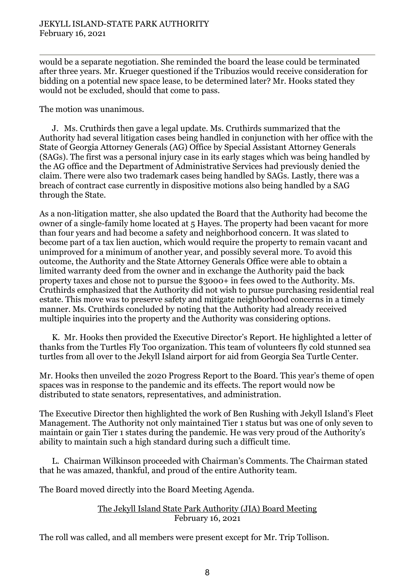would be a separate negotiation. She reminded the board the lease could be terminated after three years. Mr. Krueger questioned if the Tribuzios would receive consideration for bidding on a potential new space lease, to be determined later? Mr. Hooks stated they would not be excluded, should that come to pass.

The motion was unanimous.

J. Ms. Cruthirds then gave a legal update. Ms. Cruthirds summarized that the Authority had several litigation cases being handled in conjunction with her office with the State of Georgia Attorney Generals (AG) Office by Special Assistant Attorney Generals (SAGs). The first was a personal injury case in its early stages which was being handled by the AG office and the Department of Administrative Services had previously denied the claim. There were also two trademark cases being handled by SAGs. Lastly, there was a breach of contract case currently in dispositive motions also being handled by a SAG through the State.

As a non-litigation matter, she also updated the Board that the Authority had become the owner of a single-family home located at 5 Hayes. The property had been vacant for more than four years and had become a safety and neighborhood concern. It was slated to become part of a tax lien auction, which would require the property to remain vacant and unimproved for a minimum of another year, and possibly several more. To avoid this outcome, the Authority and the State Attorney Generals Office were able to obtain a limited warranty deed from the owner and in exchange the Authority paid the back property taxes and chose not to pursue the \$3000+ in fees owed to the Authority. Ms. Cruthirds emphasized that the Authority did not wish to pursue purchasing residential real estate. This move was to preserve safety and mitigate neighborhood concerns in a timely manner. Ms. Cruthirds concluded by noting that the Authority had already received multiple inquiries into the property and the Authority was considering options.

K. Mr. Hooks then provided the Executive Director's Report. He highlighted a letter of thanks from the Turtles Fly Too organization. This team of volunteers fly cold stunned sea turtles from all over to the Jekyll Island airport for aid from Georgia Sea Turtle Center.

Mr. Hooks then unveiled the 2020 Progress Report to the Board. This year's theme of open spaces was in response to the pandemic and its effects. The report would now be distributed to state senators, representatives, and administration.

The Executive Director then highlighted the work of Ben Rushing with Jekyll Island's Fleet Management. The Authority not only maintained Tier 1 status but was one of only seven to maintain or gain Tier 1 states during the pandemic. He was very proud of the Authority's ability to maintain such a high standard during such a difficult time.

L. Chairman Wilkinson proceeded with Chairman's Comments. The Chairman stated that he was amazed, thankful, and proud of the entire Authority team.

The Board moved directly into the Board Meeting Agenda.

### The Jekyll Island State Park Authority (JIA) Board Meeting February 16, 2021

The roll was called, and all members were present except for Mr. Trip Tollison.